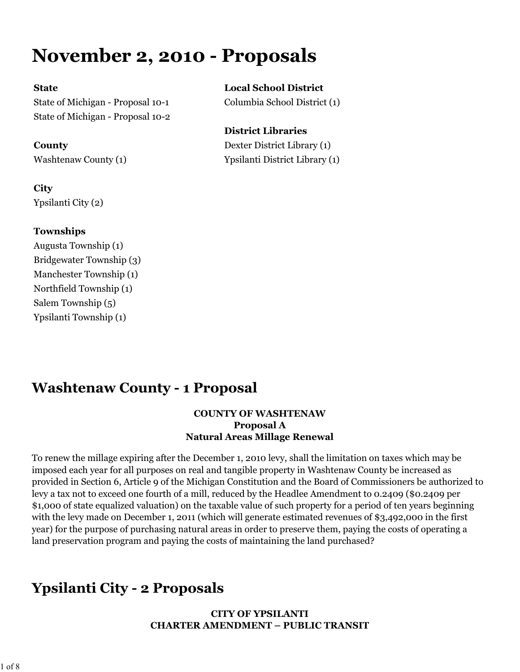# **November 2, 2010 - Proposals**

State of Michigan - Proposal 10-1 Columbia School District (1) State of Michigan - Proposal 10-2

### **City** Ypsilanti City (2)

#### **Townships**

Augusta Township (1) Bridgewater Township (3) Manchester Township (1) Northfield Township (1) Salem Township (5) Ypsilanti Township (1)

# **State Local School District**

### **District Libraries County** Dexter District Library (1) Washtenaw County (1) Ypsilanti District Library (1)

## **Washtenaw County - 1 Proposal**

#### **COUNTY OF WASHTENAW Proposal A Natural Areas Millage Renewal**

To renew the millage expiring after the December 1, 2010 levy, shall the limitation on taxes which may be imposed each year for all purposes on real and tangible property in Washtenaw County be increased as provided in Section 6, Article 9 of the Michigan Constitution and the Board of Commissioners be authorized to levy a tax not to exceed one fourth of a mill, reduced by the Headlee Amendment to 0.2409 (\$0.2409 per \$1,000 of state equalized valuation) on the taxable value of such property for a period of ten years beginning with the levy made on December 1, 2011 (which will generate estimated revenues of \$3,492,000 in the first year) for the purpose of purchasing natural areas in order to preserve them, paying the costs of operating a land preservation program and paying the costs of maintaining the land purchased?

## **Ypsilanti City - 2 Proposals**

#### **CITY OF YPSILANTI CHARTER AMENDMENT – PUBLIC TRANSIT**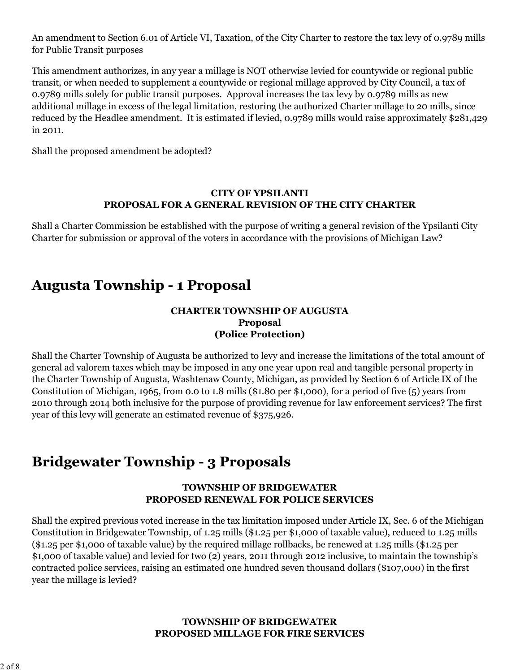An amendment to Section 6.01 of Article VI, Taxation, of the City Charter to restore the tax levy of 0.9789 mills for Public Transit purposes

This amendment authorizes, in any year a millage is NOT otherwise levied for countywide or regional public transit, or when needed to supplement a countywide or regional millage approved by City Council, a tax of 0.9789 mills solely for public transit purposes. Approval increases the tax levy by 0.9789 mills as new additional millage in excess of the legal limitation, restoring the authorized Charter millage to 20 mills, since reduced by the Headlee amendment. It is estimated if levied, 0.9789 mills would raise approximately \$281,429 in 2011.

Shall the proposed amendment be adopted?

#### **CITY OF YPSILANTI PROPOSAL FOR A GENERAL REVISION OF THE CITY CHARTER**

Shall a Charter Commission be established with the purpose of writing a general revision of the Ypsilanti City Charter for submission or approval of the voters in accordance with the provisions of Michigan Law?

### **Augusta Township - 1 Proposal**

#### **CHARTER TOWNSHIP OF AUGUSTA Proposal (Police Protection)**

Shall the Charter Township of Augusta be authorized to levy and increase the limitations of the total amount of general ad valorem taxes which may be imposed in any one year upon real and tangible personal property in the Charter Township of Augusta, Washtenaw County, Michigan, as provided by Section 6 of Article IX of the Constitution of Michigan, 1965, from 0.0 to 1.8 mills (\$1.80 per \$1,000), for a period of five (5) years from 2010 through 2014 both inclusive for the purpose of providing revenue for law enforcement services? The first year of this levy will generate an estimated revenue of \$375,926.

### **Bridgewater Township - 3 Proposals**

#### **TOWNSHIP OF BRIDGEWATER PROPOSED RENEWAL FOR POLICE SERVICES**

Shall the expired previous voted increase in the tax limitation imposed under Article IX, Sec. 6 of the Michigan Constitution in Bridgewater Township, of 1.25 mills (\$1.25 per \$1,000 of taxable value), reduced to 1.25 mills (\$1.25 per \$1,000 of taxable value) by the required millage rollbacks, be renewed at 1.25 mills (\$1.25 per \$1,000 of taxable value) and levied for two (2) years, 2011 through 2012 inclusive, to maintain the township's contracted police services, raising an estimated one hundred seven thousand dollars (\$107,000) in the first year the millage is levied?

#### **TOWNSHIP OF BRIDGEWATER PROPOSED MILLAGE FOR FIRE SERVICES**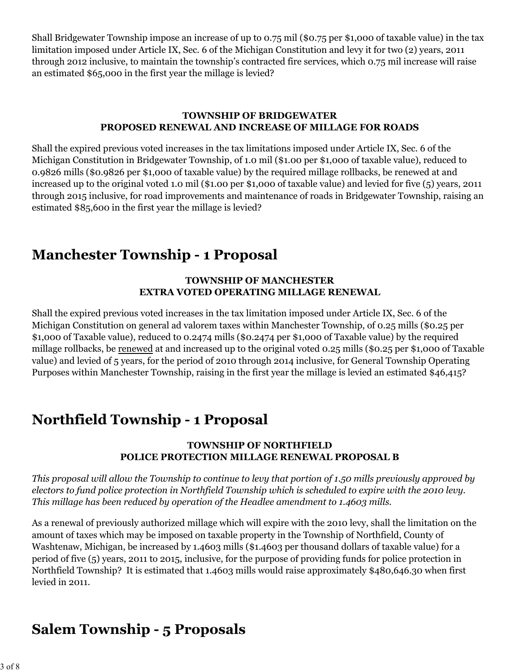Shall Bridgewater Township impose an increase of up to 0.75 mil (\$0.75 per \$1,000 of taxable value) in the tax limitation imposed under Article IX, Sec. 6 of the Michigan Constitution and levy it for two (2) years, 2011 through 2012 inclusive, to maintain the township's contracted fire services, which 0.75 mil increase will raise an estimated \$65,000 in the first year the millage is levied?

#### **TOWNSHIP OF BRIDGEWATER PROPOSED RENEWAL AND INCREASE OF MILLAGE FOR ROADS**

Shall the expired previous voted increases in the tax limitations imposed under Article IX, Sec. 6 of the Michigan Constitution in Bridgewater Township, of 1.0 mil (\$1.00 per \$1,000 of taxable value), reduced to 0.9826 mills (\$0.9826 per \$1,000 of taxable value) by the required millage rollbacks, be renewed at and increased up to the original voted 1.0 mil (\$1.00 per \$1,000 of taxable value) and levied for five (5) years, 2011 through 2015 inclusive, for road improvements and maintenance of roads in Bridgewater Township, raising an estimated \$85,600 in the first year the millage is levied?

### **Manchester Township - 1 Proposal**

#### **TOWNSHIP OF MANCHESTER EXTRA VOTED OPERATING MILLAGE RENEWAL**

Shall the expired previous voted increases in the tax limitation imposed under Article IX, Sec. 6 of the Michigan Constitution on general ad valorem taxes within Manchester Township, of 0.25 mills (\$0.25 per \$1,000 of Taxable value), reduced to 0.2474 mills (\$0.2474 per \$1,000 of Taxable value) by the required millage rollbacks, be renewed at and increased up to the original voted 0.25 mills (\$0.25 per \$1,000 of Taxable value) and levied of 5 years, for the period of 2010 through 2014 inclusive, for General Township Operating Purposes within Manchester Township, raising in the first year the millage is levied an estimated \$46,415?

### **Northfield Township - 1 Proposal**

#### **TOWNSHIP OF NORTHFIELD POLICE PROTECTION MILLAGE RENEWAL PROPOSAL B**

*This proposal will allow the Township to continue to levy that portion of 1.50 mills previously approved by electors to fund police protection in Northfield Township which is scheduled to expire with the 2010 levy. This millage has been reduced by operation of the Headlee amendment to 1.4603 mills.*

As a renewal of previously authorized millage which will expire with the 2010 levy, shall the limitation on the amount of taxes which may be imposed on taxable property in the Township of Northfield, County of Washtenaw, Michigan, be increased by 1.4603 mills (\$1.4603 per thousand dollars of taxable value) for a period of five (5) years, 2011 to 2015, inclusive, for the purpose of providing funds for police protection in Northfield Township? It is estimated that 1.4603 mills would raise approximately \$480,646.30 when first levied in 2011.

### **Salem Township - 5 Proposals**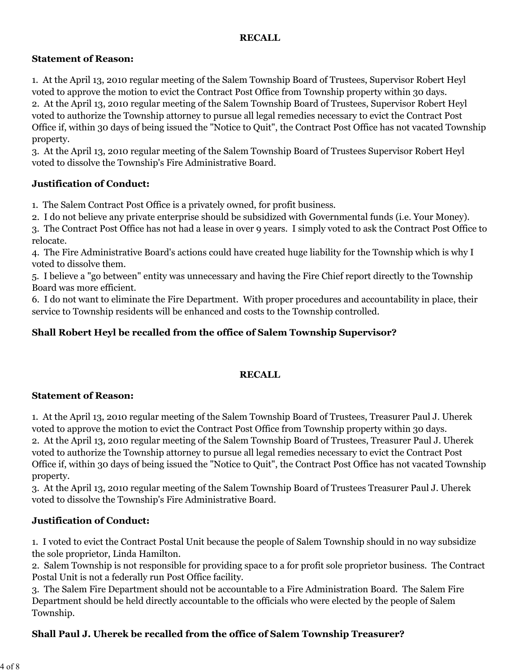#### **RECALL**

#### **Statement of Reason:**

1. At the April 13, 2010 regular meeting of the Salem Township Board of Trustees, Supervisor Robert Heyl voted to approve the motion to evict the Contract Post Office from Township property within 30 days.

2. At the April 13, 2010 regular meeting of the Salem Township Board of Trustees, Supervisor Robert Heyl voted to authorize the Township attorney to pursue all legal remedies necessary to evict the Contract Post Office if, within 30 days of being issued the "Notice to Quit", the Contract Post Office has not vacated Township property.

3. At the April 13, 2010 regular meeting of the Salem Township Board of Trustees Supervisor Robert Heyl voted to dissolve the Township's Fire Administrative Board.

#### **Justification of Conduct:**

1. The Salem Contract Post Office is a privately owned, for profit business.

2. I do not believe any private enterprise should be subsidized with Governmental funds (i.e. Your Money).

3. The Contract Post Office has not had a lease in over 9 years. I simply voted to ask the Contract Post Office to relocate.

4. The Fire Administrative Board's actions could have created huge liability for the Township which is why I voted to dissolve them.

5. I believe a "go between" entity was unnecessary and having the Fire Chief report directly to the Township Board was more efficient.

6. I do not want to eliminate the Fire Department. With proper procedures and accountability in place, their service to Township residents will be enhanced and costs to the Township controlled.

#### **Shall Robert Heyl be recalled from the office of Salem Township Supervisor?**

#### **RECALL**

#### **Statement of Reason:**

1. At the April 13, 2010 regular meeting of the Salem Township Board of Trustees, Treasurer Paul J. Uherek voted to approve the motion to evict the Contract Post Office from Township property within 30 days. 2. At the April 13, 2010 regular meeting of the Salem Township Board of Trustees, Treasurer Paul J. Uherek

voted to authorize the Township attorney to pursue all legal remedies necessary to evict the Contract Post Office if, within 30 days of being issued the "Notice to Quit", the Contract Post Office has not vacated Township property.

3. At the April 13, 2010 regular meeting of the Salem Township Board of Trustees Treasurer Paul J. Uherek voted to dissolve the Township's Fire Administrative Board.

#### **Justification of Conduct:**

1. I voted to evict the Contract Postal Unit because the people of Salem Township should in no way subsidize the sole proprietor, Linda Hamilton.

2. Salem Township is not responsible for providing space to a for profit sole proprietor business. The Contract Postal Unit is not a federally run Post Office facility.

3. The Salem Fire Department should not be accountable to a Fire Administration Board. The Salem Fire Department should be held directly accountable to the officials who were elected by the people of Salem Township.

#### **Shall Paul J. Uherek be recalled from the office of Salem Township Treasurer?**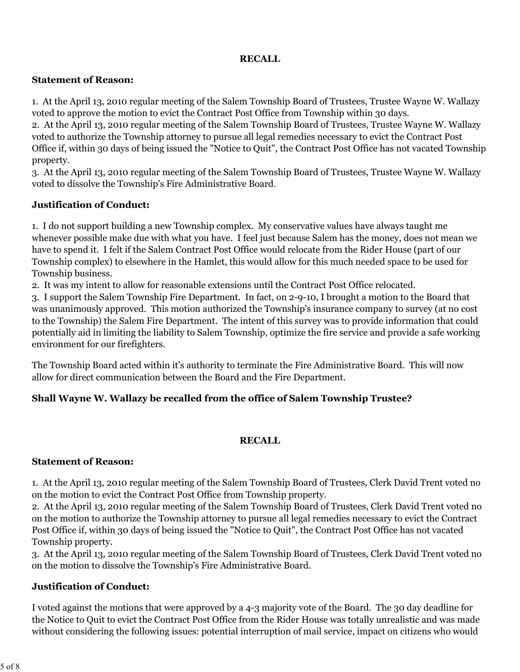#### **RECALL**

#### **Statement of Reason:**

1. At the April 13, 2010 regular meeting of the Salem Township Board of Trustees, Trustee Wayne W. Wallazy voted to approve the motion to evict the Contract Post Office from Township within 30 days.

2. At the April 13, 2010 regular meeting of the Salem Township Board of Trustees, Trustee Wayne W. Wallazy voted to authorize the Township attorney to pursue all legal remedies necessary to evict the Contract Post Office if, within 30 days of being issued the "Notice to Quit", the Contract Post Office has not vacated Township property.

3. At the April 13, 2010 regular meeting of the Salem Township Board of Trustees, Trustee Wayne W. Wallazy voted to dissolve the Township's Fire Administrative Board.

#### **Justification of Conduct:**

1. I do not support building a new Township complex. My conservative values have always taught me whenever possible make due with what you have. I feel just because Salem has the money, does not mean we have to spend it. I felt if the Salem Contract Post Office would relocate from the Rider House (part of our Township complex) to elsewhere in the Hamlet, this would allow for this much needed space to be used for Township business.

2. It was my intent to allow for reasonable extensions until the Contract Post Office relocated.

3. I support the Salem Township Fire Department. In fact, on 2-9-10, I brought a motion to the Board that was unanimously approved. This motion authorized the Township's insurance company to survey (at no cost to the Township) the Salem Fire Department. The intent of this survey was to provide information that could potentially aid in limiting the liability to Salem Township, optimize the fire service and provide a safe working environment for our firefighters.

The Township Board acted within it's authority to terminate the Fire Administrative Board. This will now allow for direct communication between the Board and the Fire Department.

#### **Shall Wayne W. Wallazy be recalled from the office of Salem Township Trustee?**

#### **RECALL**

#### **Statement of Reason:**

1. At the April 13, 2010 regular meeting of the Salem Township Board of Trustees, Clerk David Trent voted no on the motion to evict the Contract Post Office from Township property.

2. At the April 13, 2010 regular meeting of the Salem Township Board of Trustees, Clerk David Trent voted no on the motion to authorize the Township attorney to pursue all legal remedies necessary to evict the Contract Post Office if, within 30 days of being issued the "Notice to Quit", the Contract Post Office has not vacated Township property.

3. At the April 13, 2010 regular meeting of the Salem Township Board of Trustees, Clerk David Trent voted no on the motion to dissolve the Township's Fire Administrative Board.

#### **Justification of Conduct:**

I voted against the motions that were approved by a 4-3 majority vote of the Board. The 30 day deadline for the Notice to Quit to evict the Contract Post Office from the Rider House was totally unrealistic and was made without considering the following issues: potential interruption of mail service, impact on citizens who would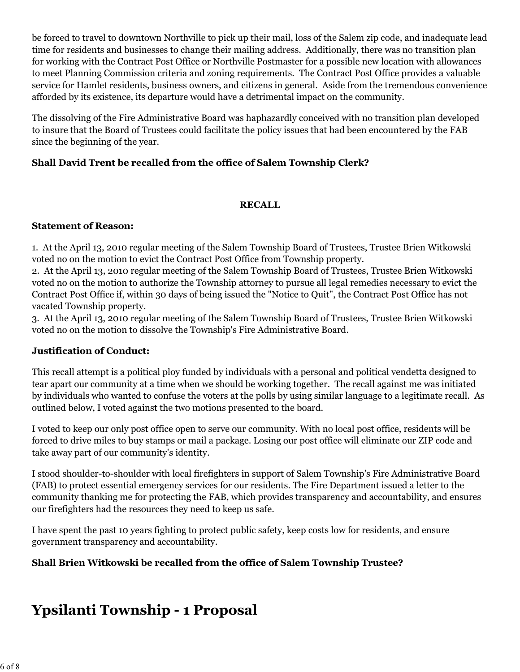be forced to travel to downtown Northville to pick up their mail, loss of the Salem zip code, and inadequate lead time for residents and businesses to change their mailing address. Additionally, there was no transition plan for working with the Contract Post Office or Northville Postmaster for a possible new location with allowances to meet Planning Commission criteria and zoning requirements. The Contract Post Office provides a valuable service for Hamlet residents, business owners, and citizens in general. Aside from the tremendous convenience afforded by its existence, its departure would have a detrimental impact on the community.

The dissolving of the Fire Administrative Board was haphazardly conceived with no transition plan developed to insure that the Board of Trustees could facilitate the policy issues that had been encountered by the FAB since the beginning of the year.

#### **Shall David Trent be recalled from the office of Salem Township Clerk?**

#### **RECALL**

#### **Statement of Reason:**

1. At the April 13, 2010 regular meeting of the Salem Township Board of Trustees, Trustee Brien Witkowski voted no on the motion to evict the Contract Post Office from Township property.

2. At the April 13, 2010 regular meeting of the Salem Township Board of Trustees, Trustee Brien Witkowski voted no on the motion to authorize the Township attorney to pursue all legal remedies necessary to evict the Contract Post Office if, within 30 days of being issued the "Notice to Quit", the Contract Post Office has not vacated Township property.

3. At the April 13, 2010 regular meeting of the Salem Township Board of Trustees, Trustee Brien Witkowski voted no on the motion to dissolve the Township's Fire Administrative Board.

#### **Justification of Conduct:**

This recall attempt is a political ploy funded by individuals with a personal and political vendetta designed to tear apart our community at a time when we should be working together. The recall against me was initiated by individuals who wanted to confuse the voters at the polls by using similar language to a legitimate recall. As outlined below, I voted against the two motions presented to the board.

I voted to keep our only post office open to serve our community. With no local post office, residents will be forced to drive miles to buy stamps or mail a package. Losing our post office will eliminate our ZIP code and take away part of our community's identity.

I stood shoulder-to-shoulder with local firefighters in support of Salem Township's Fire Administrative Board (FAB) to protect essential emergency services for our residents. The Fire Department issued a letter to the community thanking me for protecting the FAB, which provides transparency and accountability, and ensures our firefighters had the resources they need to keep us safe.

I have spent the past 10 years fighting to protect public safety, keep costs low for residents, and ensure government transparency and accountability.

#### **Shall Brien Witkowski be recalled from the office of Salem Township Trustee?**

### **Ypsilanti Township - 1 Proposal**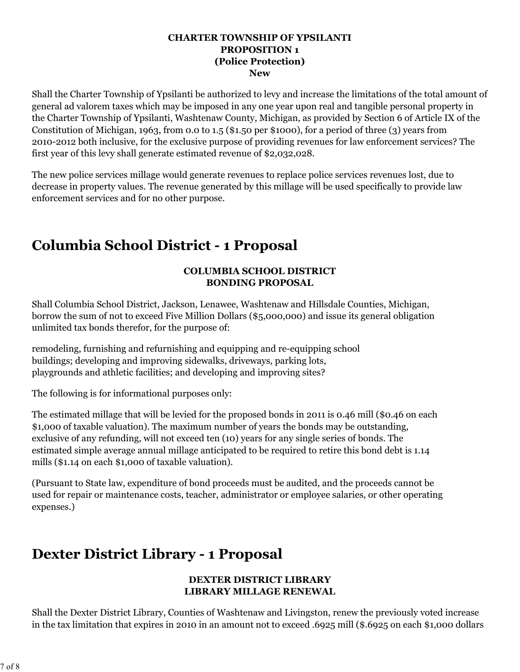#### **CHARTER TOWNSHIP OF YPSILANTI PROPOSITION 1 (Police Protection) New**

Shall the Charter Township of Ypsilanti be authorized to levy and increase the limitations of the total amount of general ad valorem taxes which may be imposed in any one year upon real and tangible personal property in the Charter Township of Ypsilanti, Washtenaw County, Michigan, as provided by Section 6 of Article IX of the Constitution of Michigan, 1963, from 0.0 to 1.5 (\$1.50 per \$1000), for a period of three (3) years from 2010-2012 both inclusive, for the exclusive purpose of providing revenues for law enforcement services? The first year of this levy shall generate estimated revenue of \$2,032,028.

The new police services millage would generate revenues to replace police services revenues lost, due to decrease in property values. The revenue generated by this millage will be used specifically to provide law enforcement services and for no other purpose.

### **Columbia School District - 1 Proposal**

#### **COLUMBIA SCHOOL DISTRICT BONDING PROPOSAL**

Shall Columbia School District, Jackson, Lenawee, Washtenaw and Hillsdale Counties, Michigan, borrow the sum of not to exceed Five Million Dollars (\$5,000,000) and issue its general obligation unlimited tax bonds therefor, for the purpose of:

remodeling, furnishing and refurnishing and equipping and re-equipping school buildings; developing and improving sidewalks, driveways, parking lots, playgrounds and athletic facilities; and developing and improving sites?

The following is for informational purposes only:

The estimated millage that will be levied for the proposed bonds in 2011 is 0.46 mill (\$0.46 on each \$1,000 of taxable valuation). The maximum number of years the bonds may be outstanding, exclusive of any refunding, will not exceed ten (10) years for any single series of bonds. The estimated simple average annual millage anticipated to be required to retire this bond debt is 1.14 mills (\$1.14 on each \$1,000 of taxable valuation).

(Pursuant to State law, expenditure of bond proceeds must be audited, and the proceeds cannot be used for repair or maintenance costs, teacher, administrator or employee salaries, or other operating expenses.)

### **Dexter District Library - 1 Proposal**

#### **DEXTER DISTRICT LIBRARY LIBRARY MILLAGE RENEWAL**

Shall the Dexter District Library, Counties of Washtenaw and Livingston, renew the previously voted increase in the tax limitation that expires in 2010 in an amount not to exceed .6925 mill (\$.6925 on each \$1,000 dollars